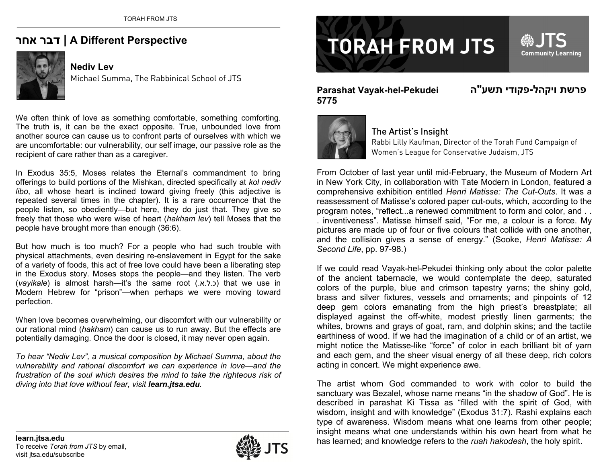## **אחר דבר | A Different Perspective**



**Nediv Lev** Michael Summa, The Rabbinical School of JTS

We often think of love as something comfortable, something comforting. The truth is, it can be the exact opposite. True, unbounded love from another source can cause us to confront parts of ourselves with which we are uncomfortable: our vulnerability, our self image, our passive role as the recipient of care rather than as a caregiver.

In Exodus 35:5, Moses relates the Eternal's commandment to bring offerings to build portions of the Mishkan, directed specifically at *kol nediv libo*, all whose heart is inclined toward giving freely (this adjective is repeated several times in the chapter). It is a rare occurrence that the people listen, so obediently—but here, they do just that. They give so freely that those who were wise of heart (*hakham lev*) tell Moses that the people have brought more than enough (36:6).

But how much is too much? For a people who had such trouble with physical attachments, even desiring re-enslavement in Egypt for the sake of a variety of foods, this act of free love could have been a liberating step in the Exodus story. Moses stops the people—and they listen. The verb (vayikale) is almost harsh—it's the same root (.c.ל.א.) that we use in Modern Hebrew for "prison"—when perhaps we were moving toward perfection.

When love becomes overwhelming, our discomfort with our vulnerability or our rational mind (*hakham*) can cause us to run away. But the effects are potentially damaging. Once the door is closed, it may never open again.

*To hear "Nediv Lev", a musical composition by Michael Summa, about the vulnerability and rational discomfort we can experience in love—and the frustration of the soul which desires the mind to take the righteous risk of diving into that love without fear, visit learn.jtsa.edu.*

## **TORAH FROM JTS**

Community Learning

## **Parashat Vayak-hel-Pekudei 5775**

**פרשת**



## The Artist's Insight

Rabbi Lilly Kaufman, Director of the Torah Fund Campaign of Women's League for Conservative Judaism, JTS

From October of last year until mid-February, the Museum of Modern Art in New York City, in collaboration with Tate Modern in London, featured a comprehensive exhibition entitled *Henri Matisse: The Cut-Outs*. It was a reassessment of Matisse's colored paper cut-outs, which, according to the program notes, "reflect...a renewed commitment to form and color, and . . . inventiveness". Matisse himself said, "For me, a colour is a force. My pictures are made up of four or five colours that collide with one another, and the collision gives a sense of energy." (Sooke, *Henri Matisse: A Second Life*, pp. 97-98.)

If we could read Vayak-hel-Pekudei thinking only about the color palette of the ancient tabernacle, we would contemplate the deep, saturated colors of the purple, blue and crimson tapestry yarns; the shiny gold, brass and silver fixtures, vessels and ornaments; and pinpoints of 12 deep gem colors emanating from the high priest's breastplate; all displayed against the off-white, modest priestly linen garments; the whites, browns and grays of goat, ram, and dolphin skins; and the tactile earthiness of wood. If we had the imagination of a child or of an artist, we might notice the Matisse-like "force" of color in each brilliant bit of yarn and each gem, and the sheer visual energy of all these deep, rich colors acting in concert. We might experience awe.

The artist whom God commanded to work with color to build the sanctuary was Bezalel, whose name means "in the shadow of God". He is described in parashat Ki Tissa as "filled with the spirit of God, with wisdom, insight and with knowledge" (Exodus 31:7). Rashi explains each type of awareness. Wisdom means what one learns from other people; insight means what one understands within his own heart from what he **has learn.jtsa.edu** is a refer to the *ruah hakodesh*, the holy spirit.<br>To receive *Torah from JTS* by email, **learned;** and knowledge refers to the *ruah hakodesh*, the holy spirit.